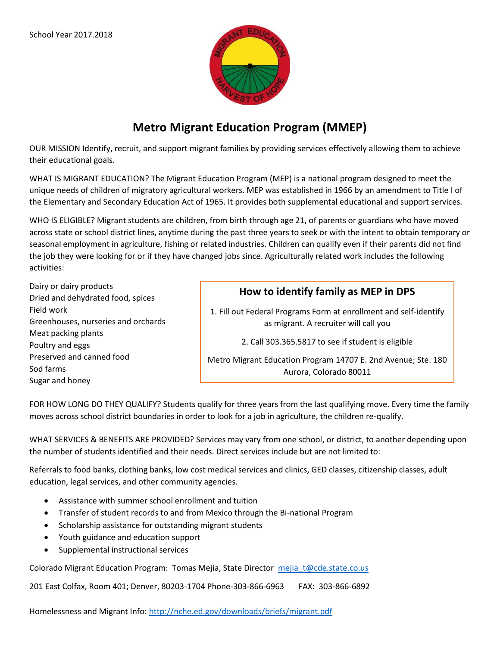

# **Metro Migrant Education Program (MMEP)**

OUR MISSION Identify, recruit, and support migrant families by providing services effectively allowing them to achieve their educational goals.

WHAT IS MIGRANT EDUCATION? The Migrant Education Program (MEP) is a national program designed to meet the unique needs of children of migratory agricultural workers. MEP was established in 1966 by an amendment to Title I of the Elementary and Secondary Education Act of 1965. It provides both supplemental educational and support services.

WHO IS ELIGIBLE? Migrant students are children, from birth through age 21, of parents or guardians who have moved across state or school district lines, anytime during the past three years to seek or with the intent to obtain temporary or seasonal employment in agriculture, fishing or related industries. Children can qualify even if their parents did not find the job they were looking for or if they have changed jobs since. Agriculturally related work includes the following activities:

Dairy or dairy products Dried and dehydrated food, spices Field work Greenhouses, nurseries and orchards Meat packing plants Poultry and eggs Preserved and canned food Sod farms Sugar and honey

## **How to identify family as MEP in DPS**

1. Fill out Federal Programs Form at enrollment and self-identify as migrant. A recruiter will call you

2. Call 303.365.5817 to see if student is eligible

Metro Migrant Education Program 14707 E. 2nd Avenue; Ste. 180 Aurora, Colorado 80011

FOR HOW LONG DO THEY QUALIFY? Students qualify for three years from the last qualifying move. Every time the family moves across school district boundaries in order to look for a job in agriculture, the children re-qualify.

WHAT SERVICES & BENEFITS ARE PROVIDED? Services may vary from one school, or district, to another depending upon the number of students identified and their needs. Direct services include but are not limited to:

Referrals to food banks, clothing banks, low cost medical services and clinics, GED classes, citizenship classes, adult education, legal services, and other community agencies.

- Assistance with summer school enrollment and tuition
- Transfer of student records to and from Mexico through the Bi-national Program
- Scholarship assistance for outstanding migrant students
- Youth guidance and education support
- Supplemental instructional services

Colorado Migrant Education Program: Tomas Mejia, State Director [mejia\\_t@cde.state.co.us](mailto:mejia_t@cde.state.co.us)

201 East Colfax, Room 401; Denver, 80203-1704 Phone-303-866-6963 FAX: 303-866-6892

Homelessness and Migrant Info[: http://nche.ed.gov/downloads/briefs/migrant.pdf](http://nche.ed.gov/downloads/briefs/migrant.pdf)